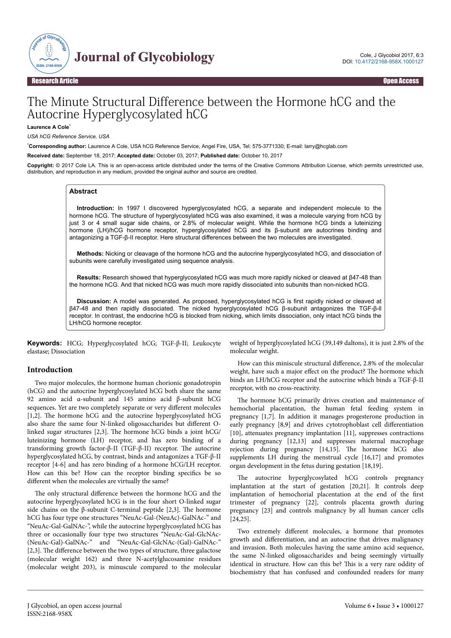

# The Minute Structural Difference between the Hormone hCG and the Autocrine Hyperglycosylated hCG

**Laurence A Cole**\*

*USA hCG Reference Service, USA*

\***Corresponding author:** Laurence A Cole, USA hCG Reference Service, Angel Fire, USA, Tel: 575-3771330; E-mail: larry@hcglab.com

**Received date:** September 18, 2017; **Accepted date:** October 03, 2017; **Published date:** October 10, 2017

**Copyright:** © 2017 Cole LA. This is an open-access article distributed under the terms of the Creative Commons Attribution License, which permits unrestricted use, distribution, and reproduction in any medium, provided the original author and source are credited.

#### **Abstract**

**Introduction:** In 1997 I discovered hyperglycosylated hCG, a separate and independent molecule to the hormone hCG. The structure of hyperglycosylated hCG was also examined, it was a molecule varying from hCG by just 3 or 4 small sugar side chains, or 2.8% of molecular weight. While the hormone hCG binds a luteinizing hormone (LH)/hCG hormone receptor, hyperglycosylated hCG and its β-subunit are autocrines binding and antagonizing a TGF-β-II receptor. Here structural differences between the two molecules are investigated.

**Methods:** Nicking or cleavage of the hormone hCG and the autocrine hyperglycosylated hCG, and dissociation of subunits were carefully investigated using sequence analysis.

**Results:** Research showed that hyperglycosylated hCG was much more rapidly nicked or cleaved at β47-48 than the hormone hCG. And that nicked hCG was much more rapidly dissociated into subunits than non-nicked hCG.

**Discussion:** A model was generated. As proposed, hyperglycosylated hCG is first rapidly nicked or cleaved at β47-48 and then rapidly dissociated. The nicked hyperglycosylated hCG β-subunit antagonizes the TGF-β-ll receptor. In contrast, the endocrine hCG is blocked from nicking, which limits dissociation, only intact hCG binds the LH/hCG hormone receptor.

**Keywords:** HCG; Hyperglycosylated hCG; TGF-β-II; Leukocyte elastase; Dissociation

#### **Introduction**

Two major molecules, the hormone human chorionic gonadotropin (hCG) and the autocrine hyperglycosylated hCG both share the same 92 amino acid α-subunit and 145 amino acid β-subunit hCG sequences. Yet are two completely separate or very different molecules [1,2]. Нe hormone hCG and the autocrine hyperglycosylated hCG also share the same four N-linked oligosaccharides but different Olinked sugar structures [2,3]. Нe hormone hCG binds a joint hCG/ luteinizing hormone (LH) receptor, and has zero binding of a transforming growth factor-β-II (TGF-β-II) receptor. Нe autocrine hyperglycosylated hCG, by contrast, binds and antagonizes a TGF-β-II receptor [4-6] and has zero binding of a hormone hCG/LH receptor. How can this be? How can the receptor binding specifics be so different when the molecules are virtually the same?

The only structural difference between the hormone hCG and the autocrine hyperglycosylated hCG is in the four short O-linked sugar side chains on the  $\beta$ -subunit C-terminal peptide [2,3]. The hormone hCG has four type one structures "NeuAc-Gal-(NeuAc)-GalNAc-" and "NeuAc-Gal-GalNAc-", while the autocrine hyperglycosylated hCG has three or occasionally four type two structures "NeuAc-Gal-GlcNAc- (NeuAc-Gal)-GalNAc-" and "NeuAc-Gal-GlcNAc-(Gal)-GalNAc-" [2,3]. The difference between the two types of structure, three galactose (molecular weight 162) and three N-acetylglucosamine residues (molecular weight 203), is minuscule compared to the molecular

weight of hyperglycosylated hCG (39,149 daltons), it is just 2.8% of the molecular weight.

How can this miniscule structural difference, 2.8% of the molecular weight, have such a major effect on the product? The hormone which binds an LH/hCG receptor and the autocrine which binds a TGF-β-II receptor, with no cross-reactivity.

The hormone hCG primarily drives creation and maintenance of hemochorial placentation, the human fetal feeding system in pregnancy [1,7]. In addition it manages progesterone production in early pregnancy [8,9] and drives cytotrophoblast cell differentiation [10], attenuates pregnancy implantation [11], suppresses contractions during pregnancy [12,13] and suppresses maternal macrophage rejection during pregnancy [14,15]. Нe hormone hCG also supplements LH during the menstrual cycle [16,17] and promotes organ development in the fetus during gestation [18,19].

The autocrine hyperglycosylated hCG controls pregnancy implantation at the start of gestation [20,21]. It controls deep implantation of hemochorial placentation at the end of the first trimester of pregnancy [22], controls placenta growth during pregnancy [23] and controls malignancy by all human cancer cells  $[24, 25]$ .

Two extremely different molecules, a hormone that promotes growth and differentiation, and an autocrine that drives malignancy and invasion. Both molecules having the same amino acid sequence, the same N-linked oligosaccharides and being seemingly virtually identical in structure. How can this be? Нis is a very rare oddity of biochemistry that has confused and confounded readers for many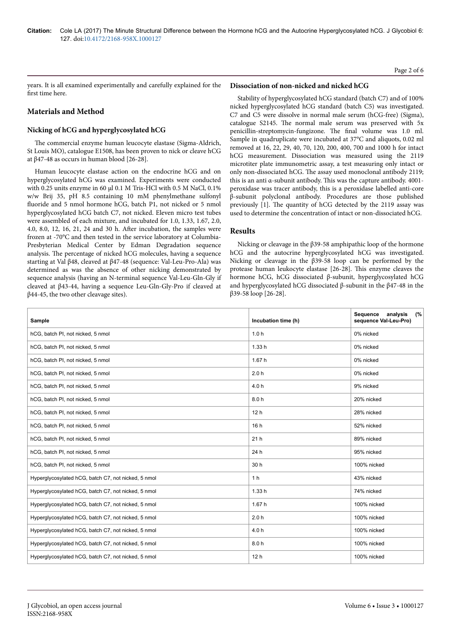years. It is all examined experimentally and carefully explained for the first time here.

# **Materials and Method**

# **Nicking of hCG and hyperglycosylated hCG**

The commercial enzyme human leucocyte elastase (Sigma-Aldrich, St Louis MO), catalogue E1508, has been proven to nick or cleave hCG at  $β$ 47-48 as occurs in human blood [26-28].

Human leucocyte elastase action on the endocrine hCG and on hyperglycosylated hCG was examined. Experiments were conducted with 0.25 units enzyme in 60 µl 0.1 M Tris-HCl with 0.5 M NaCl, 0.1% w/w Brij 35, pH 8.5 containing 10 mM phenylmethane sulfonyl fluoride and 5 nmol hormone hCG, batch P1, not nicked or 5 nmol hyperglycosylated hCG batch C7, not nicked. Eleven micro test tubes were assembled of each mixture, and incubated for 1.0, 1.33, 1.67, 2.0, 4.0, 8.0, 12, 16, 21, 24 and 30 h. After incubation, the samples were frozen at -70°C and then tested in the service laboratory at Columbia-Presbyterian Medical Center by Edman Degradation sequence analysis. Нe percentage of nicked hCG molecules, having a sequence starting at Val β48, cleaved at β47-48 (sequence: Val-Leu-Pro-Ala) was determined as was the absence of other nicking demonstrated by sequence analysis (having an N-terminal sequence Val-Leu-Gln-Gly if cleaved at β43-44, having a sequence Leu-Gln-Gly-Pro if cleaved at β44-45, the two other cleavage sites).

#### **Dissociation of non-nicked and nicked hCG**

Stability of hyperglycosylated hCG standard (batch C7) and of 100% nicked hyperglycosylated hCG standard (batch C5) was investigated. C7 and C5 were dissolve in normal male serum (hCG-free) (Sigma), catalogue S2145. Нe normal male serum was preserved with 5x penicillin-streptomycin-fungizone. Нe final volume was 1.0 ml. Sample in quadruplicate were incubated at 37°C and aliquots, 0.02 ml removed at 16, 22, 29, 40, 70, 120, 200, 400, 700 and 1000 h for intact hCG measurement. Dissociation was measured using the 2119 microtiter plate immunometric assay, a test measuring only intact or only non-dissociated hCG. Нe assay used monoclonal antibody 2119; this is an anti α-subunit antibody. Нis was the capture antibody. 4001 peroxidase was tracer antibody, this is a peroxidase labelled anti-core β-subunit polyclonal antibody. Procedures are those published previously [1]. Нe quantity of hCG detected by the 2119 assay was used to determine the concentration of intact or non-dissociated hCG.

# **Results**

Nicking or cleavage in the β39-58 amphipathic loop of the hormone hCG and the autocrine hyperglycosylated hCG was investigated. Nicking or cleavage in the β39-58 loop can be performed by the protease human leukocyte elastase [26-28]. Нis enzyme cleaves the hormone hCG, hCG dissociated β-subunit, hyperglycosylated hCG and hyperglycosylated hCG dissociated β-subunit in the β47-48 in the β39-58 loop [26-28].

| Sample                                              | Incubation time (h) | (%<br>Sequence<br>analysis<br>sequence Val-Leu-Pro) |
|-----------------------------------------------------|---------------------|-----------------------------------------------------|
| hCG, batch PI, not nicked, 5 nmol                   | 1.0 <sub>h</sub>    | 0% nicked                                           |
| hCG, batch PI, not nicked, 5 nmol                   | 1.33h               | 0% nicked                                           |
| hCG, batch PI, not nicked, 5 nmol                   | 1.67h               | 0% nicked                                           |
| hCG, batch PI, not nicked, 5 nmol                   | 2.0h                | 0% nicked                                           |
| hCG, batch PI, not nicked, 5 nmol                   | 4.0h                | 9% nicked                                           |
| hCG, batch PI, not nicked, 5 nmol                   | 8.0h                | 20% nicked                                          |
| hCG, batch PI, not nicked, 5 nmol                   | 12 <sub>h</sub>     | 28% nicked                                          |
| hCG, batch PI, not nicked, 5 nmol                   | 16h                 | 52% nicked                                          |
| hCG, batch PI, not nicked, 5 nmol                   | 21h                 | 89% nicked                                          |
| hCG, batch PI, not nicked, 5 nmol                   | 24 h                | 95% nicked                                          |
| hCG, batch PI, not nicked, 5 nmol                   | 30 h                | 100% nicked                                         |
| Hyperglycosylated hCG, batch C7, not nicked, 5 nmol | 1 <sub>h</sub>      | 43% nicked                                          |
| Hyperglycosylated hCG, batch C7, not nicked, 5 nmol | 1.33h               | 74% nicked                                          |
| Hyperglycosylated hCG, batch C7, not nicked, 5 nmol | 1.67h               | 100% nicked                                         |
| Hyperglycosylated hCG, batch C7, not nicked, 5 nmol | 2.0h                | 100% nicked                                         |
| Hyperglycosylated hCG, batch C7, not nicked, 5 nmol | 4.0h                | 100% nicked                                         |
| Hyperglycosylated hCG, batch C7, not nicked, 5 nmol | 8.0h                | 100% nicked                                         |
| Hyperglycosylated hCG, batch C7, not nicked, 5 nmol | 12 <sub>h</sub>     | 100% nicked                                         |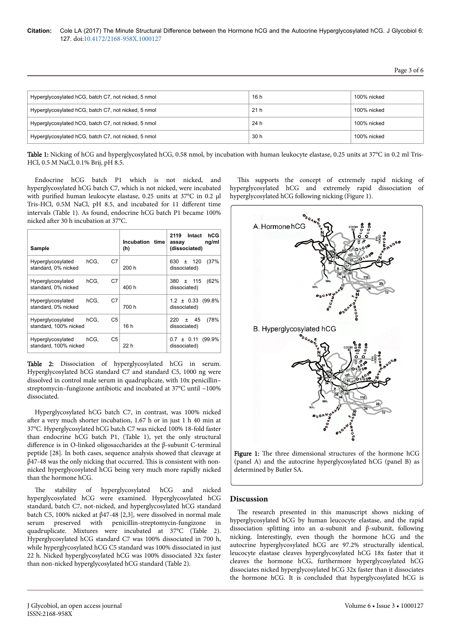Page 3 of 6

| Hyperglycosylated hCG, batch C7, not nicked, 5 nmol | 16 h            | 100% nicked |
|-----------------------------------------------------|-----------------|-------------|
| Hyperglycosylated hCG, batch C7, not nicked, 5 nmol | 21 <sub>h</sub> | 100% nicked |
| Hyperglycosylated hCG, batch C7, not nicked, 5 nmol | 24 h            | 100% nicked |
| Hyperglycosylated hCG, batch C7, not nicked, 5 nmol | 30 h            | 100% nicked |

Table 1: Nicking of hCG and hyperglycosylated hCG, 0.58 nmol, by incubation with human leukocyte elastase, 0.25 units at 37°C in 0.2 ml Tris-HCl, 0.5 M NaCl, 0.1% Brij, pH 8.5.

Endocrine hCG batch P1 which is not nicked, and hyperglycosylated hCG batch C7, which is not nicked, were incubated with purified human leukocyte elastase, 0.25 units at 37°C in 0.2 ul Tris-HCl, 0.5M NaCl, pH 8.5, and incubated for 11 different time intervals (Table 1). As found, endocrine hCG batch P1 became 100% nicked after 30 h incubation at 37°C.

| Sample                                     |                        | Incubation time<br>(h) | 2119 Intact<br>hCG<br>ng/ml<br>assay<br>(dissociated) |
|--------------------------------------------|------------------------|------------------------|-------------------------------------------------------|
| Hyperglycosylated<br>standard, 0% nicked   | hCG,<br>C7             | 200 h                  | (37%<br>120<br>630<br>$\pm$<br>dissociated)           |
| Hyperglycosylated<br>standard, 0% nicked   | C7<br>hCG.             | 400 h                  | $±$ 115<br>(62%<br>380<br>dissociated)                |
| Hyperglycosylated<br>standard, 0% nicked   | C7<br>hCG,             | 700 h                  | $1.2 \pm 0.33$ (99.8%)<br>dissociated)                |
| Hyperglycosylated<br>standard, 100% nicked | C <sub>5</sub><br>hCG, | 16h                    | (78%<br>220<br>45<br>Ŧ<br>dissociated)                |
| Hyperglycosylated<br>standard, 100% nicked | C <sub>5</sub><br>hCG, | 22 h                   | (99.9%<br>$0.7 \pm 0.11$<br>dissociated)              |

Table 2: Dissociation of hyperglycosylated hCG in serum. Hyperglycosylated hCG standard C7 and standard C5, 1000 ng were dissolved in control male serum in quadruplicate, with 10x penicillin– streptomycin–fungizone antibiotic and incubated at 37°C until ~100% dissociated.

Hyperglycosylated hCG batch C7, in contrast, was 100% nicked after a very much shorter incubation, 1.67 h or in just 1 h 40 min at 37°C. Hyperglycosylated hCG batch C7 was nicked 100% 18-fold faster than endocrine hCG batch P1, (Table 1), yet the only structural difference is in O-linked oligosaccharides at the β-subunit C-terminal peptide [28]. In both cases, sequence analysis showed that cleavage at β47-48 was the only nicking that occurred. Нis is consistent with nonnicked hyperglycosylated hCG being very much more rapidly nicked than the hormone hCG.

The stability of hyperglycosylated hCG and nicked hyperglycosylated hCG were examined. Hyperglycosylated hCG standard, batch C7, not-nicked, and hyperglycosylated hCG standard batch C5, 100% nicked at β47-48 [2,3], were dissolved in normal male serum preserved with penicillin-streptomycin-fungizone in quadruplicate. Mixtures were incubated at 37°C (Table 2). Hyperglycosylated hCG standard C7 was 100% dissociated in 700 h, while hyperglycosylated hCG C5 standard was 100% dissociated in just 22 h. Nicked hyperglycosylated hCG was 100% dissociated 32x faster than non-nicked hyperglycosylated hCG standard (Table 2).

This supports the concept of extremely rapid nicking of hyperglycosylated hCG and extremely rapid dissociation of hyperglycosylated hCG following nicking (Figure 1).





# **Discussion**

The research presented in this manuscript shows nicking of hyperglycosylated hCG by human leucocyte elastase, and the rapid dissociation splitting into an α-subunit and β-subunit, following nicking. Interestingly, even though the hormone hCG and the autocrine hyperglycosylated hCG are 97.2% structurally identical, leucocyte elastase cleaves hyperglycosylated hCG 18x faster that it cleaves the hormone hCG, furthermore hyperglycosylated hCG dissociates nicked hyperglycosylated hCG 32x faster than it dissociates the hormone hCG. It is concluded that hyperglycosylated hCG is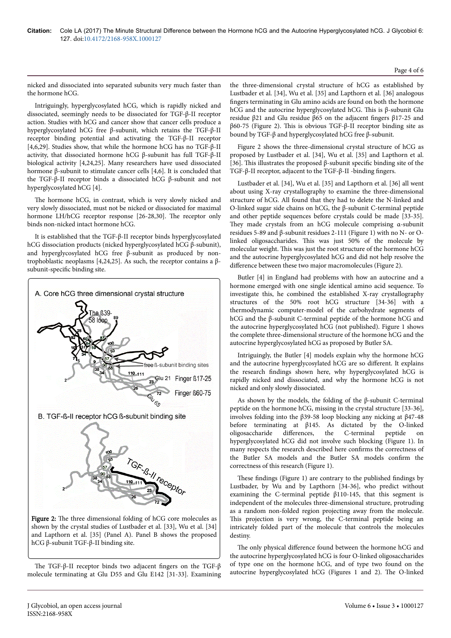nicked and dissociated into separated subunits very much faster than the hormone hCG.

Intriguingly, hyperglycosylated hCG, which is rapidly nicked and dissociated, seemingly needs to be dissociated for TGF-β-II receptor action. Studies with hCG and cancer show that cancer cells produce a hyperglycosylated hCG free β-subunit, which retains the TGF-β-II receptor binding potential and activating the TGF-β-II receptor [4,6,29]. Studies show, that while the hormone hCG has no TGF-β-II activity, that dissociated hormone hCG β-subunit has full TGF-β-II biological activity [4,24,25]. Many researchers have used dissociated hormone β-subunit to stimulate cancer cells [4,6]. It is concluded that the TGF-β-II receptor binds a dissociated hCG β-subunit and not hyperglycosylated hCG [4].

The hormone hCG, in contrast, which is very slowly nicked and very slowly dissociated, must not be nicked or dissociated for maximal hormone LH/hCG receptor response [26-28,30]. The receptor only binds non-nicked intact hormone hCG.

It is established that the TGF-β-II receptor binds hyperglycosylated hCG dissociation products (nicked hyperglycosylated hCG β-subunit), and hyperglycosylated hCG free β-subunit as produced by nontrophoblastic neoplasms [4,24,25]. As such, the receptor contains a βsubunit-specific binding site.



hCG β-subunit TGF-β-II binding site.

The TGF-β-II receptor binds two adjacent fingers on the TGF-β molecule terminating at Glu D55 and Glu E142 [31-33]. Examining the three-dimensional crystal structure of hCG as established by Lustbader et al. [34], Wu et al. [35] and Lapthorn et al. [36] analogous fingers terminating in Glu amino acids are found on both the hormone hCG and the autocrine hyperglycosylated hCG. Нis is β-subunit Glu residue β21 and Glu residue β65 on the adjacent fingers β17-25 and β60-75 (Figure 2). Нis is obvious TGF-β-II receptor binding site as bound by TGF-β and hyperglycosylated hCG free β-subunit.

Figure 2 shows the three-dimensional crystal structure of hCG as proposed by Lustbader et al. [34], Wu et al. [35] and Lapthorn et al. [36]. Нis illustrates the proposed β-subunit specific binding site of the TGF-β-II receptor, adjacent to the TGF-β-II -binding fingers.

Lustbader et al. [34], Wu et al. [35] and Lapthorn et al. [36] all went about using X-ray crystallography to examine the three-dimensional structure of hCG. All found that they had to delete the N-linked and O-linked sugar side chains on hCG, the β-subunit C-terminal peptide and other peptide sequences before crystals could be made [33-35]. They made crystals from an hCG molecule comprising  $\alpha$ -subunit residues 5-89 and β-subunit residues 2-111 (Figure 1) with no N- or Olinked oligosaccharides. Нis was just 50% of the molecule by molecular weight. Нis was just the root structure of the hormone hCG and the autocrine hyperglycosylated hCG and did not help resolve the difference between these two major macromolecules (Figure 2).

Butler [4] in England had problems with how an autocrine and a hormone emerged with one single identical amino acid sequence. To investigate this, he combined the established X-ray crystallography structures of the 50% root hCG structure [34-36] with a thermodynamic computer-model of the carbohydrate segments of hCG and the β-subunit C-terminal peptide of the hormone hCG and the autocrine hyperglycosylated hCG (not published). Figure 1 shows the complete three-dimensional structure of the hormone hCG and the autocrine hyperglycosylated hCG as proposed by Butler SA.

Intriguingly, the Butler [4] models explain why the hormone hCG and the autocrine hyperglycosylated hCG are so different. It explains the research findings shown here, why hyperglycosylated hCG is rapidly nicked and dissociated, and why the hormone hCG is not nicked and only slowly dissociated.

As shown by the models, the folding of the β-subunit C-terminal peptide on the hormone hCG, missing in the crystal structure [33-36], involves folding into the β39-58 loop blocking any nicking at β47-48 before terminating at β145. As dictated by the O-linked oligosaccharide differences, the C-terminal peptide on hyperglycosylated hCG did not involve such blocking (Figure 1). In many respects the research described here confirms the correctness of the Butler SA models and the Butler SA models confirm the correctness of this research (Figure 1).

These findings (Figure 1) are contrary to the published findings by Lustbader, by Wu and by Lapthorn [34-36], who predict without examining the C-terminal peptide β110-145, that this segment is independent of the molecules three-dimensional structure, protruding as a random non-folded region projecting away from the molecule. This projection is very wrong, the C-terminal peptide being an intricately folded part of the molecule that controls the molecules destiny.

The only physical difference found between the hormone hCG and the autocrine hyperglycosylated hCG is four O-linked oligosaccharides of type one on the hormone hCG, and of type two found on the autocrine hyperglycosylated hCG (Figures 1 and 2). Нe O-linked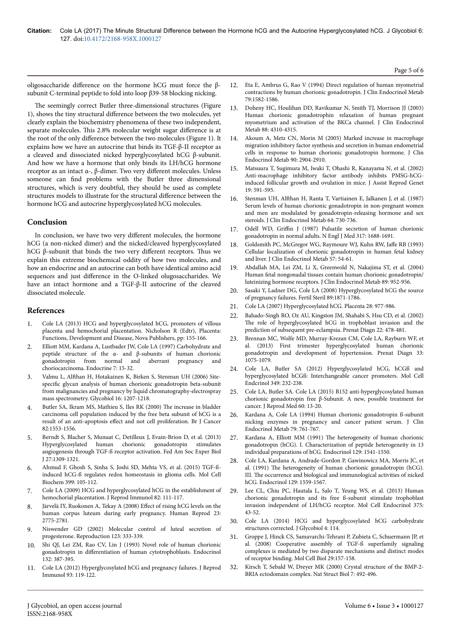oligosaccharide difference on the hormone hCG must force the  $\beta$ subunit C-terminal peptide to fold into loop β39-58 blocking nicking.

The seemingly correct Butler three-dimensional structures (Figure 1), shows the tiny structural difference between the two molecules, yet clearly explain the biochemistry phenomena of these two independent, separate molecules. This 2.8% molecular weight sugar difference is at the root of the only difference between the two molecules (Figure 1). It explains how we have an autocrine that binds its TGF-β-II receptor as a cleaved and dissociated nicked hyperglycosylated hCG β-subunit. And how we have a hormone that only binds its LH/hCG hormone receptor as an intact α-,  $β$ -dimer. Two very different molecules. Unless someone can find problems with the Butler three dimensional structures, which is very doubtful, they should be used as complete structures models to illustrate for the structural difference between the hormone hCG and autocrine hyperglycosylated hCG molecules.

# **Conclusion**

In conclusion, we have two very different molecules, the hormone hCG (a non-nicked dimer) and the nicked/cleaved hyperglycosylated hCG β-subunit that binds the two very different receptors. Thus we explain this extreme biochemical oddity of how two molecules, and how an endocrine and an autocrine can both have identical amino acid sequences and just difference in the O-linked olugosaccharides. We have an intact hormone and a TGF-β-II autocrine of the cleaved dissociated molecule.

# **References**

- 1. [Cole LA \(2013\) HCG and hyperglycosylated hCG, promoters of villous](https://www.researchgate.net/publication/286131129_HCG_and_hyperglycosylated_HCG_promoters_of_villous_placenta_and_hemochorial_placentation) [placenta and hemochorial placentation. Nicholson R \(Edtr\), Placenta:](https://www.researchgate.net/publication/286131129_HCG_and_hyperglycosylated_HCG_promoters_of_villous_placenta_and_hemochorial_placentation) [Functions, Development and Disease, Nova Publishers, pp: 155-166.](https://www.researchgate.net/publication/286131129_HCG_and_hyperglycosylated_HCG_promoters_of_villous_placenta_and_hemochorial_placentation)
- 2. [Elliott MM, Kardana A, Lustbader JW, Cole LA \(1997\) Carbohydrate and](https://doi.org/10.1007/BF02778058) peptide structure of the α- and  $β$ -subunits of human chorionic gonadotropin from normal and aberrant pregnancy and [gonadotropin from normal and aberrant pregnancy and](https://doi.org/10.1007/BF02778058) [choriocarcinoma. Endocrine 7: 15-32.](https://doi.org/10.1007/BF02778058)
- 3. Valmu L, Alfthan [H, Hotakainen K, Birken S, Stenman UH \(2006\)](https://doi.org/10.1093/glycob/cwl034) Sitespecific [glycan analysis of human chorionic gonadotropin beta-subunit](https://doi.org/10.1093/glycob/cwl034) [from malignancies and pregnancy by liquid chromatography-electrospray](https://doi.org/10.1093/glycob/cwl034) [mass spectrometry. Glycobiol 16: 1207-1218.](https://doi.org/10.1093/glycob/cwl034)
- [Butler SA, Ikram MS, Mathieu S, Iles RK \(2000\)](https://doi.org/10.1054/bjoc.2000.1177) The increase in bladder [carcinoma cell population induced by the free beta subunit of hCG is a](https://doi.org/10.1054/bjoc.2000.1177) result of an anti-apoptosis effect [and not cell proliferation. Br J Cancer](https://doi.org/10.1054/bjoc.2000.1177) [82:1553-1556.](https://doi.org/10.1054/bjoc.2000.1177)
- 5. [Berndt S, Blacher S, Munuat C, Detilleux J, Evain-Brion D, et al. \(2013\)](https://doi.org/10.1096/fj.12-213686) [Hyperglycosylated human chorionic gonadotropin stimulates](https://doi.org/10.1096/fj.12-213686) [angiogenesis through TGF-ß receptor activation. Fed Am Soc Exper Biol](https://doi.org/10.1096/fj.12-213686) [J 27:1309-1321.](https://doi.org/10.1096/fj.12-213686)
- 6. [Ahmud F, Ghosh S, Sinha S, Joshi SD, Mehta VS, et al. \(2015\) TGF-ß](https://doi.org/10.1007/s11010-014-2237-6)[induced hCG-ß regulates redox homeostasis in glioma cells. Mol Cell](https://doi.org/10.1007/s11010-014-2237-6) [Biochem 399: 105-112.](https://doi.org/10.1007/s11010-014-2237-6)
- 7. [Cole LA \(2009\) HCG and hyperglycosylated hCG in the establishment of](https://doi.org/10.1016/j.jri.2009.04.007) [hemochorial placentation. J Reprod Immunol 82: 111-117.](https://doi.org/10.1016/j.jri.2009.04.007)
- 8. [Järvelä IY, Ruokonen A, Tekay A \(2008\)](https://doi.org/10.1093/humrep/den299) Effect of rising hCG levels on the [human corpus luteum during early pregnancy. Human Reprod 23:](https://doi.org/10.1093/humrep/den299) [2775-2781.](https://doi.org/10.1093/humrep/den299)
- 9. [Niswender GD \(2002\) Molecular control of luteal secretion of](https://doi.org/10.1530/rep.0.1230333) [progesterone. Reproduction 123: 333-339.](https://doi.org/10.1530/rep.0.1230333)
- 10. [Shi QJ, Lei ZM, Rao CV, Lin J \(1993\) Novel role of human chorionic](https://doi.org/10.1210/endo.132.3.7679981) gonadotropin in differentiation [of human cytotrophoblasts. Endocrinol](https://doi.org/10.1210/endo.132.3.7679981) [132: 387-395.](https://doi.org/10.1210/endo.132.3.7679981)
- 11. [Cole LA \(2012\) Hyperglycosylated hCG and pregnancy failures. J Reprod](https://doi.org/10.1016/j.jri.2012.01.001) [Immunol 93: 119-122.](https://doi.org/10.1016/j.jri.2012.01.001)
- 12. [Eta E, Ambrus G, Rao V \(1994\) Direct regulation of human myometrial](https://doi.org/10.1210/jcem.79.6.7989459) [contractions by human chorionic gonadotropin. J Clin Endocrinol Metab](https://doi.org/10.1210/jcem.79.6.7989459) [79:1582-1586.](https://doi.org/10.1210/jcem.79.6.7989459)
- 13. [Doheny HC, Houlihan DD, Ravikumar N, Smith TJ, Morrison JJ \(2003\)](https://doi.org/10.1210/jc.2003-030221) [Human chorionic gonadotrophin relaxation of human pregnant](https://doi.org/10.1210/jc.2003-030221) [myometrium and activation of the BKCa channel. J Clin Endocrinol](https://doi.org/10.1210/jc.2003-030221) [Metab 88: 4310-4315.](https://doi.org/10.1210/jc.2003-030221)
- 14. [Akoum A, Metz CN, Morin M \(2005\) Marked increase in macrophage](https://doi.org/10.1210/jc.2004-1900) [migration inhibitory factor synthesis and secretion in human endometrial](https://doi.org/10.1210/jc.2004-1900) [cells in response to human chorionic gonadotropin hormone. J Clin](https://doi.org/10.1210/jc.2004-1900) [Endocrinol Metab 90: 2904-2910.](https://doi.org/10.1210/jc.2004-1900)
- 15. [Matsuura T, Sugimura M, Iwaki T, Ohashi R, Kanayama N, et al. \(2002\)](https://link.springer.com/article/10.1023/A:1021219317155) [Anti-macrophage inhibitory factor antibody inhibits PMSG-hCG](https://link.springer.com/article/10.1023/A:1021219317155)[induced follicular growth and ovulation in mice. J Assist Reprod Genet](https://link.springer.com/article/10.1023/A:1021219317155) [19: 591-595.](https://link.springer.com/article/10.1023/A:1021219317155)
- 16. Stenman UH, Alfthan [H, Ranta T, Vartiainen E, Jalkanen J, et al. \(1987\)](https://doi.org/10.1210/jcem-64-4-730) [Serum levels of human chorionic gonadotropin in non-pregnant women](https://doi.org/10.1210/jcem-64-4-730) [and men are modulated by gonadotropin-releasing hormone and sex](https://doi.org/10.1210/jcem-64-4-730) [steroids. J Clin Endocrinol Metab 64: 730-736.](https://doi.org/10.1210/jcem-64-4-730)
- 17. Odell WD, Griffin [J \(1987\) Pulsatile secretion of human chorionic](https://doi.org/10.1056/NEJM198712313172702) [gonadotropin in normal adults. N Engl J Med 317: 1688-1691.](https://doi.org/10.1056/NEJM198712313172702)
- 18. [Goldsmith PC, McGregor WG, Raymoure WJ, Kuhn RW,](https://doi.org/10.1210/jcem-57-3-654) Jaffe RB (1993) [Cellular localization of chorionic gonadotropin in human fetal kidney](https://doi.org/10.1210/jcem-57-3-654) [and liver. J Clin Endocrinol Metab 57: 54-61.](https://doi.org/10.1210/jcem-57-3-654)
- 19. [Abdallah MA, Lei ZM, Li X, Greenwold N, Nakajima ST, et al. \(2004\)](https://doi.org/10.1210/jc.2003-030917) [Human fetal nongonadal tissues contain human chorionic gonadotropin/](https://doi.org/10.1210/jc.2003-030917) [luteinizing hormone receptors. J Clin Endocrinol Metab 89: 952-956.](https://doi.org/10.1210/jc.2003-030917)
- 20. Sasaki Y, Ladner DG, Cole LA (2008) Hyperglycosylated hCG the source of pregnancy failures. Fertil Steril 89:1871-1786.
- 21. [Cole LA \(2007\) Hyperglycosylated hCG. Placenta 28: 977-986.](https://doi.org/10.1016/j.placenta.2010.06.005)
- 22. [Bahado-Singh RO, Oz AU, Kingston JM, Shahabi S, Hsu CD, et al. \(2002\)](https://doi.org/10.1002/pd.329) The [role of hyperglycosylated hCG in trophoblast invasion and the](https://doi.org/10.1002/pd.329) [prediction of subsequent pre-eclampsia. Prenat Diagn 22: 478-481.](https://doi.org/10.1002/pd.329)
- 23. [Brennan MC, Wolfe MD, Murray-Krezan CM, Cole LA, Rayburn WF, et](https://doi.org/10.1002/pd.4199) [al. \(2013\) First trimester hyperglycosylated human chorionic](https://doi.org/10.1002/pd.4199) [gonadotropin and development of hypertension. Prenat Diagn 33:](https://doi.org/10.1002/pd.4199) [1075-1079.](https://doi.org/10.1002/pd.4199)
- 24. [Cole LA, Butler SA \(2012\) Hyperglycosylated hCG, hCGß and](https://doi.org/10.1016/j.mce.2011.10.029) [hyperglycosylated hCGß: Interchangeable cancer promoters. Mol Cell](https://doi.org/10.1016/j.mce.2011.10.029) [Endcrinol 349: 232-238.](https://doi.org/10.1016/j.mce.2011.10.029)
- 25. [Cole LA, Butler SA. Cole LA \(2015\) B152 anti-hyperglycosylated human](https://www.ncbi.nlm.nih.gov/pubmed/25745746) [chorionic gonadotropin free β-Subunit. A new, possible treatment for](https://www.ncbi.nlm.nih.gov/pubmed/25745746) [cancer. J Reprod Med 60: 13-20.](https://www.ncbi.nlm.nih.gov/pubmed/25745746)
- 26. [Kardana A, Cole LA \(1994\) Human chorionic gonadotropin ß-subunit](https://doi.org/10.1210/jcem.79.3.7521352) [nicking enzymes in pregnancy and cancer patient serum. J Clin](https://doi.org/10.1210/jcem.79.3.7521352) [Endocrinol Metab 79: 761-767.](https://doi.org/10.1210/jcem.79.3.7521352)
- 27. Kardana A, Elliott MM (1991) Нe [heterogeneity of human chorionic](https://doi.org/10.1210/endo-129-3-1541) [gonadotropin \(hCG\). I. Characterization of peptide heterogeneity in 13](https://doi.org/10.1210/endo-129-3-1541) [individual preparations of hCG. Endocrinol 129: 1541-1550.](https://doi.org/10.1210/endo-129-3-1541)
- 28. [Cole LA, Kardana A, Andrade-Gordon P, Gawinowicz MA, Morris JC, et](https://doi.org/10.1210/endo-129-3-1559) al. (1991) Нe [heterogeneity of human chorionic gonadotropin \(hCG\).](https://doi.org/10.1210/endo-129-3-1559) III. Нe [occurrence and biological and immunological activities of nicked](https://doi.org/10.1210/endo-129-3-1559) [hCG. Endocrinol 129: 1559-1567.](https://doi.org/10.1210/endo-129-3-1559)
- [Lee CL, Chiu PC, Hautala L, Salo T, Yeung WS, et al. \(2013\) Human](https://doi.org/10.1016/j.mce.2013.05.009) [chorionic gonadotropin and its free ß-subunit stimulate trophoblast](https://doi.org/10.1016/j.mce.2013.05.009) [invasion independent of LH/hCG receptor. Mol Cell Endocrinol 375:](https://doi.org/10.1016/j.mce.2013.05.009) [43-52.](https://doi.org/10.1016/j.mce.2013.05.009)
- 30. [Cole LA \(2014\) HCG and hyperglycosylated hCG carbohydrate](https://doi.org/10.4172/2168-958X.1000114) [structures corrected. J Glycobiol 4: 114.](https://doi.org/10.4172/2168-958X.1000114)
- 31. [Groppe J, Hinck CS, Samavarchi-Tehrani P, Zubieta C, Schuermann JP, et](https://doi.org/10.1016/j.molcel.2007.11.039) [al. \(2008\) Cooperative assembly of TGF-ß superfamily signaling](https://doi.org/10.1016/j.molcel.2007.11.039) [complexes is mediated by two disparate mechanisms and distinct modes](https://doi.org/10.1016/j.molcel.2007.11.039) [of receptor binding. Mol Cell Biol 29:157-158.](https://doi.org/10.1016/j.molcel.2007.11.039)
- 32. [Kirsch T, Sebald W, Dreyer MK \(2000\) Crystal structure of the BMP-2-](https://doi.org/10.1038/75903) [BRIA ectodomain complex. Nat Struct Biol 7: 492-496.](https://doi.org/10.1038/75903)

Page 5 of 6